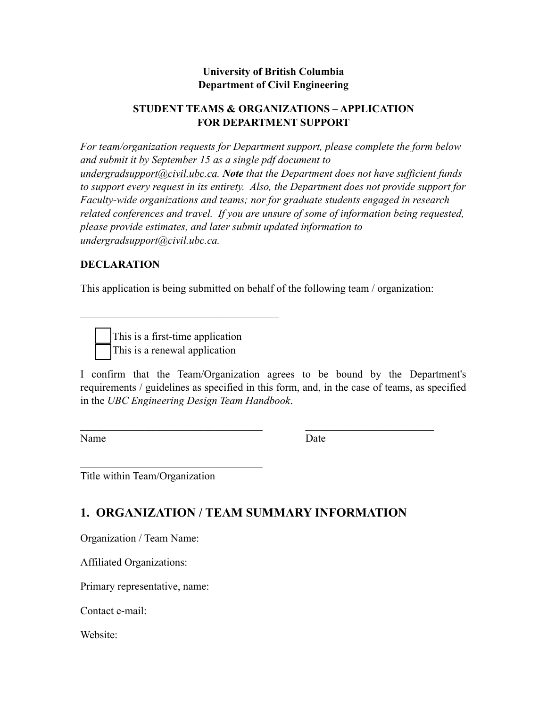### **University of British Columbia Department of Civil Engineering**

#### **STUDENT TEAMS & ORGANIZATIONS – APPLICATION FOR DEPARTMENT SUPPORT**

*For team/organization requests for Department support, please complete the form below and submit it by September 15 as a single pdf document to [undergradsupport@civil.ubc.ca](mailto:undergradsupport@civil.ubc.ca). Note that the Department does not have sufficient funds to support every request in its entirety. Also, the Department does not provide support for Faculty-wide organizations and teams; nor for graduate students engaged in research related conferences and travel. If you are unsure of some of information being requested, please provide estimates, and later submit updated information to undergradsupport@civil.ubc.ca.* 

#### **DECLARATION**

This application is being submitted on behalf of the following team / organization:

his is a first-time application his is a renewal application

 $\mathcal{L}_\text{max}$  and  $\mathcal{L}_\text{max}$  and  $\mathcal{L}_\text{max}$  and  $\mathcal{L}_\text{max}$ 

I confirm that the Team/Organization agrees to be bound by the Department's requirements / guidelines as specified in this form, and, in the case of teams, as specified in the *UBC Engineering Design Team Handbook*.

 $\mathcal{L}_\text{max}$  , and the contribution of the contribution of  $\mathcal{L}_\text{max}$ 

Name Date

Title within Team/Organization

 $\mathcal{L}_\text{max}$  , where  $\mathcal{L}_\text{max}$  and  $\mathcal{L}_\text{max}$  and  $\mathcal{L}_\text{max}$ 

# **1. ORGANIZATION / TEAM SUMMARY INFORMATION**

Organization / Team Name:

Affiliated Organizations:

Primary representative, name:

Contact e-mail:

Website: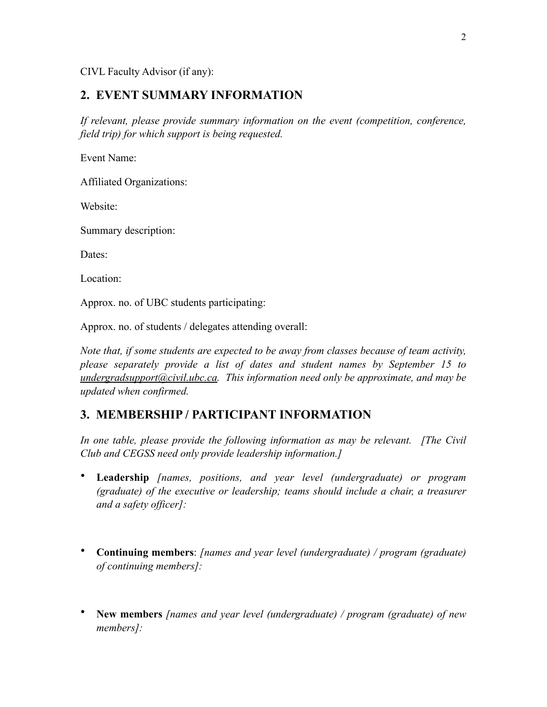CIVL Faculty Advisor (if any):

#### **2. EVENT SUMMARY INFORMATION**

*If relevant, please provide summary information on the event (competition, conference, field trip) for which support is being requested.* 

Event Name:

Affiliated Organizations:

Website:

Summary description:

Dates:

Location:

Approx. no. of UBC students participating:

Approx. no. of students / delegates attending overall:

*Note that, if some students are expected to be away from classes because of team activity, please separately provide a list of dates and student names by September 15 to [undergradsupport@civil.ubc.ca](mailto:undergradsupport@civil.ubc.ca). This information need only be approximate, and may be updated when confirmed.* 

### **3. MEMBERSHIP / PARTICIPANT INFORMATION**

*In one table, please provide the following information as may be relevant. [The Civil Club and CEGSS need only provide leadership information.]* 

- **Leadership** *[names, positions, and year level (undergraduate) or program (graduate) of the executive or leadership; teams should include a chair, a treasurer and a safety officer]:*
- **Continuing members**: *[names and year level (undergraduate) / program (graduate) of continuing members]:*
- **New members** *[names and year level (undergraduate) / program (graduate) of new members]:*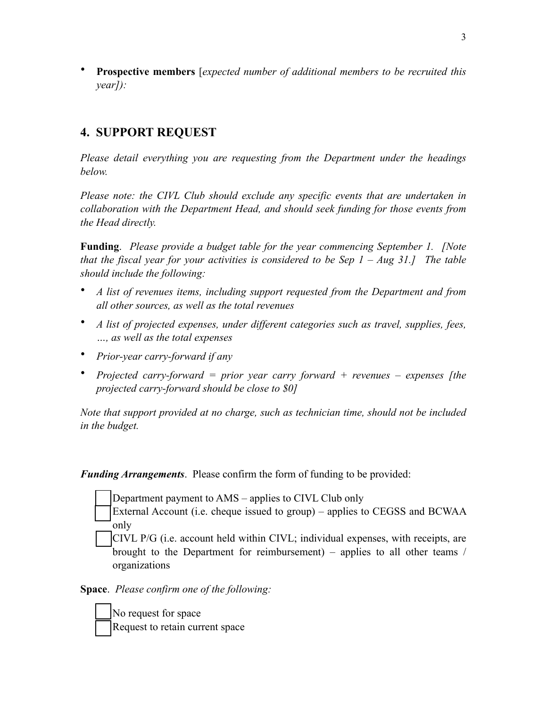• **Prospective members** [*expected number of additional members to be recruited this year]):* 

# **4. SUPPORT REQUEST**

*Please detail everything you are requesting from the Department under the headings below.* 

*Please note: the CIVL Club should exclude any specific events that are undertaken in collaboration with the Department Head, and should seek funding for those events from the Head directly.* 

**Funding**. *Please provide a budget table for the year commencing September 1. [Note that the fiscal year for your activities is considered to be Sep 1 – Aug 31.] The table should include the following:* 

- *A list of revenues items, including support requested from the Department and from all other sources, as well as the total revenues*
- *A list of projected expenses, under different categories such as travel, supplies, fees, …, as well as the total expenses*
- *Prior-year carry-forward if any*
- *Projected carry-forward = prior year carry forward + revenues expenses [the projected carry-forward should be close to \$0]*

*Note that support provided at no charge, such as technician time, should not be included in the budget.* 

*Funding Arrangements*. Please confirm the form of funding to be provided:

Department payment to AMS – applies to CIVL Club only

External Account (i.e. cheque issued to group) – applies to CEGSS and BCWAA only

⬜ CIVL P/G (i.e. account held within CIVL; individual expenses, with receipts, are brought to the Department for reimbursement) – applies to all other teams / organizations

**Space**. *Please confirm one of the following:*

⬜ No request for space ⬜ Request to retain current space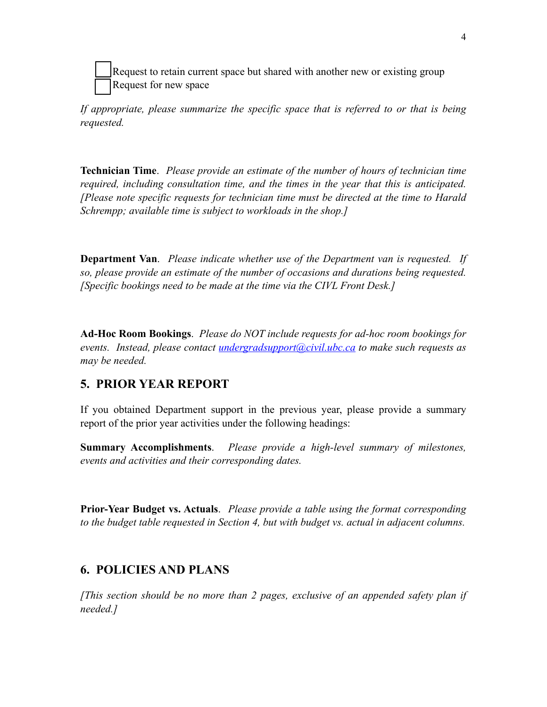Request to retain current space but shared with another new or existing group ⬜ Request for new space

*If appropriate, please summarize the specific space that is referred to or that is being requested.* 

**Technician Time**. *Please provide an estimate of the number of hours of technician time required, including consultation time, and the times in the year that this is anticipated. [Please note specific requests for technician time must be directed at the time to Harald Schrempp; available time is subject to workloads in the shop.]*

**Department Van**. *Please indicate whether use of the Department van is requested. If so, please provide an estimate of the number of occasions and durations being requested. [Specific bookings need to be made at the time via the CIVL Front Desk.]*

**Ad-Hoc Room Bookings**. *Please do NOT include requests for ad-hoc room bookings for events. Instead, please contact [undergradsupport@civil.ubc.ca](mailto:undergradsupport@civil.ubc.ca) to make such requests as may be needed.*

## **5. PRIOR YEAR REPORT**

If you obtained Department support in the previous year, please provide a summary report of the prior year activities under the following headings:

**Summary Accomplishments**. *Please provide a high-level summary of milestones, events and activities and their corresponding dates.*

**Prior-Year Budget vs. Actuals**. *Please provide a table using the format corresponding to the budget table requested in Section 4, but with budget vs. actual in adjacent columns.* 

## **6. POLICIES AND PLANS**

*[This section should be no more than 2 pages, exclusive of an appended safety plan if needed.]*